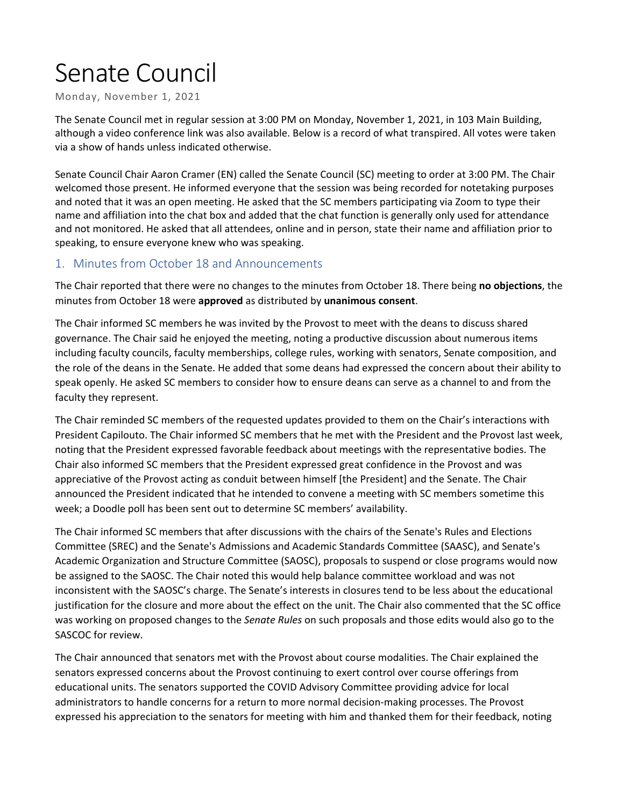# Senate Council

Monday, November 1, 2021

The Senate Council met in regular session at 3:00 PM on Monday, November 1, 2021, in 103 Main Building, although a video conference link was also available. Below is a record of what transpired. All votes were taken via a show of hands unless indicated otherwise.

Senate Council Chair Aaron Cramer (EN) called the Senate Council (SC) meeting to order at 3:00 PM. The Chair welcomed those present. He informed everyone that the session was being recorded for notetaking purposes and noted that it was an open meeting. He asked that the SC members participating via Zoom to type their name and affiliation into the chat box and added that the chat function is generally only used for attendance and not monitored. He asked that all attendees, online and in person, state their name and affiliation prior to speaking, to ensure everyone knew who was speaking.

## 1. Minutes from October 18 and Announcements

The Chair reported that there were no changes to the minutes from October 18. There being **no objections**, the minutes from October 18 were **approved** as distributed by **unanimous consent**.

The Chair informed SC members he was invited by the Provost to meet with the deans to discuss shared governance. The Chair said he enjoyed the meeting, noting a productive discussion about numerous items including faculty councils, faculty memberships, college rules, working with senators, Senate composition, and the role of the deans in the Senate. He added that some deans had expressed the concern about their ability to speak openly. He asked SC members to consider how to ensure deans can serve as a channel to and from the faculty they represent.

The Chair reminded SC members of the requested updates provided to them on the Chair's interactions with President Capilouto. The Chair informed SC members that he met with the President and the Provost last week, noting that the President expressed favorable feedback about meetings with the representative bodies. The Chair also informed SC members that the President expressed great confidence in the Provost and was appreciative of the Provost acting as conduit between himself [the President] and the Senate. The Chair announced the President indicated that he intended to convene a meeting with SC members sometime this week; a Doodle poll has been sent out to determine SC members' availability.

The Chair informed SC members that after discussions with the chairs of the Senate's Rules and Elections Committee (SREC) and the Senate's Admissions and Academic Standards Committee (SAASC), and Senate's Academic Organization and Structure Committee (SAOSC), proposals to suspend or close programs would now be assigned to the SAOSC. The Chair noted this would help balance committee workload and was not inconsistent with the SAOSC's charge. The Senate's interests in closures tend to be less about the educational justification for the closure and more about the effect on the unit. The Chair also commented that the SC office was working on proposed changes to the *Senate Rules* on such proposals and those edits would also go to the SASCOC for review.

The Chair announced that senators met with the Provost about course modalities. The Chair explained the senators expressed concerns about the Provost continuing to exert control over course offerings from educational units. The senators supported the COVID Advisory Committee providing advice for local administrators to handle concerns for a return to more normal decision-making processes. The Provost expressed his appreciation to the senators for meeting with him and thanked them for their feedback, noting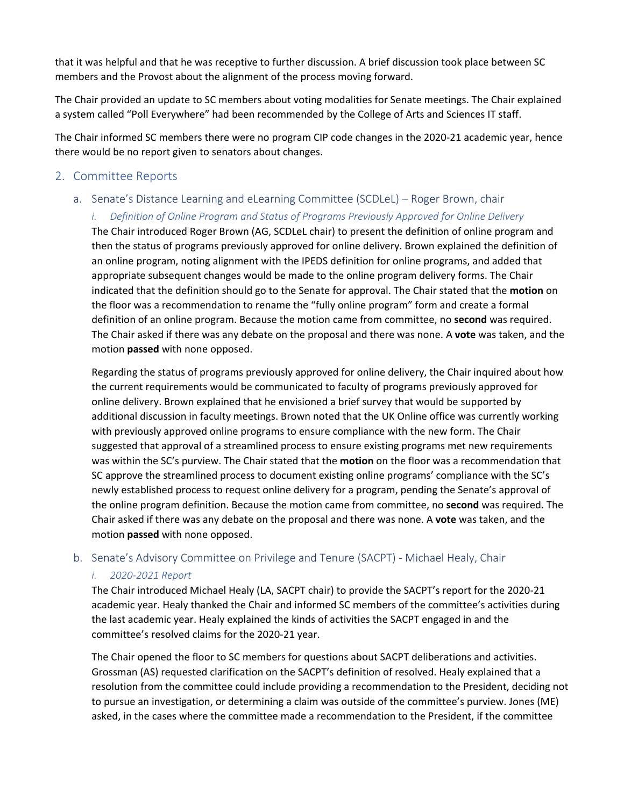that it was helpful and that he was receptive to further discussion. A brief discussion took place between SC members and the Provost about the alignment of the process moving forward.

The Chair provided an update to SC members about voting modalities for Senate meetings. The Chair explained a system called "Poll Everywhere" had been recommended by the College of Arts and Sciences IT staff.

The Chair informed SC members there were no program CIP code changes in the 2020-21 academic year, hence there would be no report given to senators about changes.

#### 2. Committee Reports

## a. Senate's Distance Learning and eLearning Committee (SCDLeL) – Roger Brown, chair *i. Definition of Online Program and Status of Programs Previously Approved for Online Delivery*

The Chair introduced Roger Brown (AG, SCDLeL chair) to present the definition of online program and then the status of programs previously approved for online delivery. Brown explained the definition of an online program, noting alignment with the IPEDS definition for online programs, and added that appropriate subsequent changes would be made to the online program delivery forms. The Chair indicated that the definition should go to the Senate for approval. The Chair stated that the **motion** on the floor was a recommendation to rename the "fully online program" form and create a formal definition of an online program. Because the motion came from committee, no **second** was required. The Chair asked if there was any debate on the proposal and there was none. A **vote** was taken, and the motion **passed** with none opposed.

Regarding the status of programs previously approved for online delivery, the Chair inquired about how the current requirements would be communicated to faculty of programs previously approved for online delivery. Brown explained that he envisioned a brief survey that would be supported by additional discussion in faculty meetings. Brown noted that the UK Online office was currently working with previously approved online programs to ensure compliance with the new form. The Chair suggested that approval of a streamlined process to ensure existing programs met new requirements was within the SC's purview. The Chair stated that the **motion** on the floor was a recommendation that SC approve the streamlined process to document existing online programs' compliance with the SC's newly established process to request online delivery for a program, pending the Senate's approval of the online program definition. Because the motion came from committee, no **second** was required. The Chair asked if there was any debate on the proposal and there was none. A **vote** was taken, and the motion **passed** with none opposed.

#### b. Senate's Advisory Committee on Privilege and Tenure (SACPT) - Michael Healy, Chair

#### *i. 2020-2021 Report*

The Chair introduced Michael Healy (LA, SACPT chair) to provide the SACPT's report for the 2020-21 academic year. Healy thanked the Chair and informed SC members of the committee's activities during the last academic year. Healy explained the kinds of activities the SACPT engaged in and the committee's resolved claims for the 2020-21 year.

The Chair opened the floor to SC members for questions about SACPT deliberations and activities. Grossman (AS) requested clarification on the SACPT's definition of resolved. Healy explained that a resolution from the committee could include providing a recommendation to the President, deciding not to pursue an investigation, or determining a claim was outside of the committee's purview. Jones (ME) asked, in the cases where the committee made a recommendation to the President, if the committee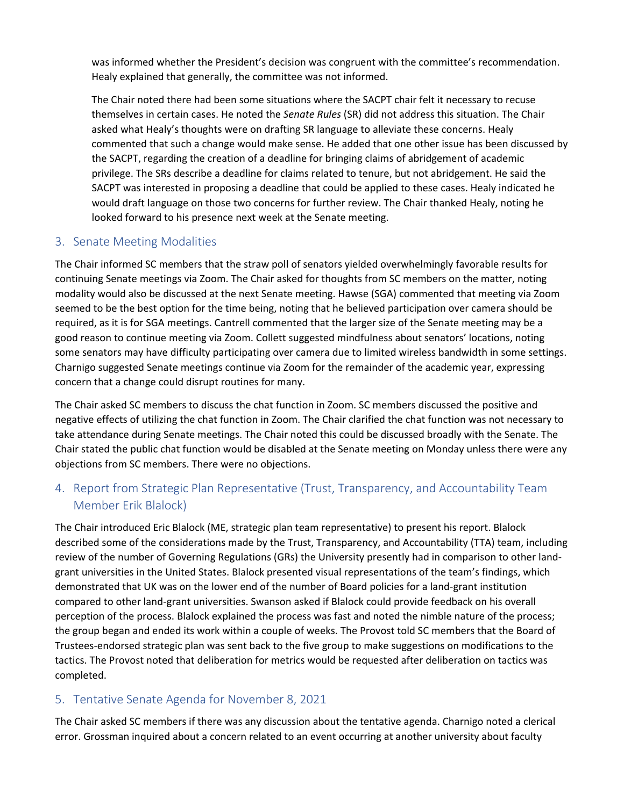was informed whether the President's decision was congruent with the committee's recommendation. Healy explained that generally, the committee was not informed.

The Chair noted there had been some situations where the SACPT chair felt it necessary to recuse themselves in certain cases. He noted the *Senate Rules* (SR) did not address this situation. The Chair asked what Healy's thoughts were on drafting SR language to alleviate these concerns. Healy commented that such a change would make sense. He added that one other issue has been discussed by the SACPT, regarding the creation of a deadline for bringing claims of abridgement of academic privilege. The SRs describe a deadline for claims related to tenure, but not abridgement. He said the SACPT was interested in proposing a deadline that could be applied to these cases. Healy indicated he would draft language on those two concerns for further review. The Chair thanked Healy, noting he looked forward to his presence next week at the Senate meeting.

## 3. Senate Meeting Modalities

The Chair informed SC members that the straw poll of senators yielded overwhelmingly favorable results for continuing Senate meetings via Zoom. The Chair asked for thoughts from SC members on the matter, noting modality would also be discussed at the next Senate meeting. Hawse (SGA) commented that meeting via Zoom seemed to be the best option for the time being, noting that he believed participation over camera should be required, as it is for SGA meetings. Cantrell commented that the larger size of the Senate meeting may be a good reason to continue meeting via Zoom. Collett suggested mindfulness about senators' locations, noting some senators may have difficulty participating over camera due to limited wireless bandwidth in some settings. Charnigo suggested Senate meetings continue via Zoom for the remainder of the academic year, expressing concern that a change could disrupt routines for many.

The Chair asked SC members to discuss the chat function in Zoom. SC members discussed the positive and negative effects of utilizing the chat function in Zoom. The Chair clarified the chat function was not necessary to take attendance during Senate meetings. The Chair noted this could be discussed broadly with the Senate. The Chair stated the public chat function would be disabled at the Senate meeting on Monday unless there were any objections from SC members. There were no objections.

# 4. Report from Strategic Plan Representative (Trust, Transparency, and Accountability Team Member Erik Blalock)

The Chair introduced Eric Blalock (ME, strategic plan team representative) to present his report. Blalock described some of the considerations made by the Trust, Transparency, and Accountability (TTA) team, including review of the number of Governing Regulations (GRs) the University presently had in comparison to other landgrant universities in the United States. Blalock presented visual representations of the team's findings, which demonstrated that UK was on the lower end of the number of Board policies for a land-grant institution compared to other land-grant universities. Swanson asked if Blalock could provide feedback on his overall perception of the process. Blalock explained the process was fast and noted the nimble nature of the process; the group began and ended its work within a couple of weeks. The Provost told SC members that the Board of Trustees-endorsed strategic plan was sent back to the five group to make suggestions on modifications to the tactics. The Provost noted that deliberation for metrics would be requested after deliberation on tactics was completed.

# 5. Tentative Senate Agenda for November 8, 2021

The Chair asked SC members if there was any discussion about the tentative agenda. Charnigo noted a clerical error. Grossman inquired about a concern related to an event occurring at another university about faculty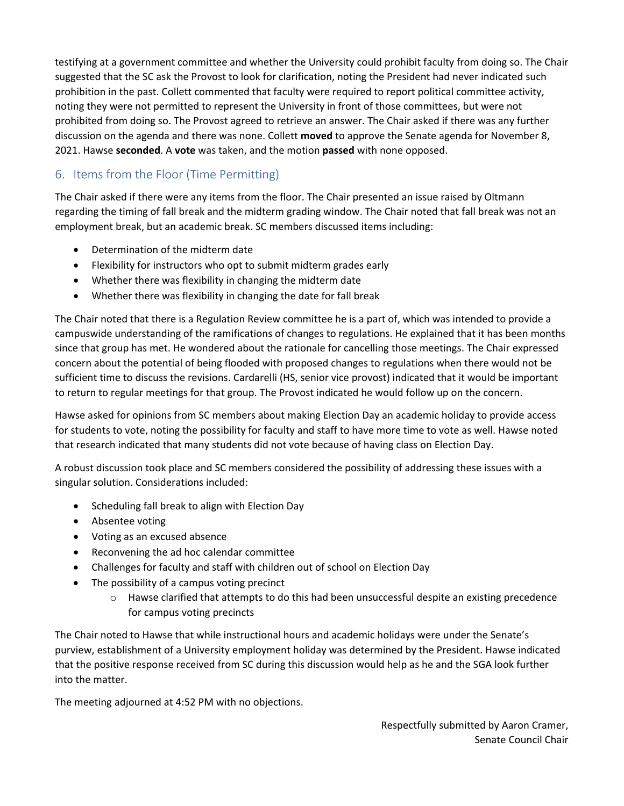testifying at a government committee and whether the University could prohibit faculty from doing so. The Chair suggested that the SC ask the Provost to look for clarification, noting the President had never indicated such prohibition in the past. Collett commented that faculty were required to report political committee activity, noting they were not permitted to represent the University in front of those committees, but were not prohibited from doing so. The Provost agreed to retrieve an answer. The Chair asked if there was any further discussion on the agenda and there was none. Collett **moved** to approve the Senate agenda for November 8, 2021. Hawse **seconded**. A **vote** was taken, and the motion **passed** with none opposed.

# 6. Items from the Floor (Time Permitting)

The Chair asked if there were any items from the floor. The Chair presented an issue raised by Oltmann regarding the timing of fall break and the midterm grading window. The Chair noted that fall break was not an employment break, but an academic break. SC members discussed items including:

- Determination of the midterm date
- Flexibility for instructors who opt to submit midterm grades early
- Whether there was flexibility in changing the midterm date
- Whether there was flexibility in changing the date for fall break

The Chair noted that there is a Regulation Review committee he is a part of, which was intended to provide a campuswide understanding of the ramifications of changes to regulations. He explained that it has been months since that group has met. He wondered about the rationale for cancelling those meetings. The Chair expressed concern about the potential of being flooded with proposed changes to regulations when there would not be sufficient time to discuss the revisions. Cardarelli (HS, senior vice provost) indicated that it would be important to return to regular meetings for that group. The Provost indicated he would follow up on the concern.

Hawse asked for opinions from SC members about making Election Day an academic holiday to provide access for students to vote, noting the possibility for faculty and staff to have more time to vote as well. Hawse noted that research indicated that many students did not vote because of having class on Election Day.

A robust discussion took place and SC members considered the possibility of addressing these issues with a singular solution. Considerations included:

- Scheduling fall break to align with Election Day
- Absentee voting
- Voting as an excused absence
- Reconvening the ad hoc calendar committee
- Challenges for faculty and staff with children out of school on Election Day
- The possibility of a campus voting precinct
	- $\circ$  Hawse clarified that attempts to do this had been unsuccessful despite an existing precedence for campus voting precincts

The Chair noted to Hawse that while instructional hours and academic holidays were under the Senate's purview, establishment of a University employment holiday was determined by the President. Hawse indicated that the positive response received from SC during this discussion would help as he and the SGA look further into the matter.

The meeting adjourned at 4:52 PM with no objections.

Respectfully submitted by Aaron Cramer, Senate Council Chair